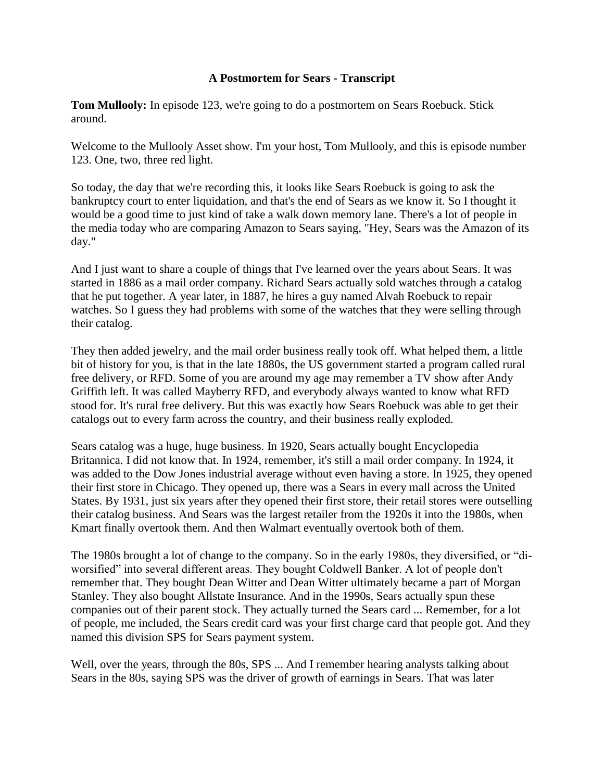## **A Postmortem for Sears - Transcript**

**Tom Mullooly:** In episode 123, we're going to do a postmortem on Sears Roebuck. Stick around.

Welcome to the Mullooly Asset show. I'm your host, Tom Mullooly, and this is episode number 123. One, two, three red light.

So today, the day that we're recording this, it looks like Sears Roebuck is going to ask the bankruptcy court to enter liquidation, and that's the end of Sears as we know it. So I thought it would be a good time to just kind of take a walk down memory lane. There's a lot of people in the media today who are comparing Amazon to Sears saying, "Hey, Sears was the Amazon of its day."

And I just want to share a couple of things that I've learned over the years about Sears. It was started in 1886 as a mail order company. Richard Sears actually sold watches through a catalog that he put together. A year later, in 1887, he hires a guy named Alvah Roebuck to repair watches. So I guess they had problems with some of the watches that they were selling through their catalog.

They then added jewelry, and the mail order business really took off. What helped them, a little bit of history for you, is that in the late 1880s, the US government started a program called rural free delivery, or RFD. Some of you are around my age may remember a TV show after Andy Griffith left. It was called Mayberry RFD, and everybody always wanted to know what RFD stood for. It's rural free delivery. But this was exactly how Sears Roebuck was able to get their catalogs out to every farm across the country, and their business really exploded.

Sears catalog was a huge, huge business. In 1920, Sears actually bought Encyclopedia Britannica. I did not know that. In 1924, remember, it's still a mail order company. In 1924, it was added to the Dow Jones industrial average without even having a store. In 1925, they opened their first store in Chicago. They opened up, there was a Sears in every mall across the United States. By 1931, just six years after they opened their first store, their retail stores were outselling their catalog business. And Sears was the largest retailer from the 1920s it into the 1980s, when Kmart finally overtook them. And then Walmart eventually overtook both of them.

The 1980s brought a lot of change to the company. So in the early 1980s, they diversified, or "diworsified" into several different areas. They bought Coldwell Banker. A lot of people don't remember that. They bought Dean Witter and Dean Witter ultimately became a part of Morgan Stanley. They also bought Allstate Insurance. And in the 1990s, Sears actually spun these companies out of their parent stock. They actually turned the Sears card ... Remember, for a lot of people, me included, the Sears credit card was your first charge card that people got. And they named this division SPS for Sears payment system.

Well, over the years, through the 80s, SPS ... And I remember hearing analysts talking about Sears in the 80s, saying SPS was the driver of growth of earnings in Sears. That was later